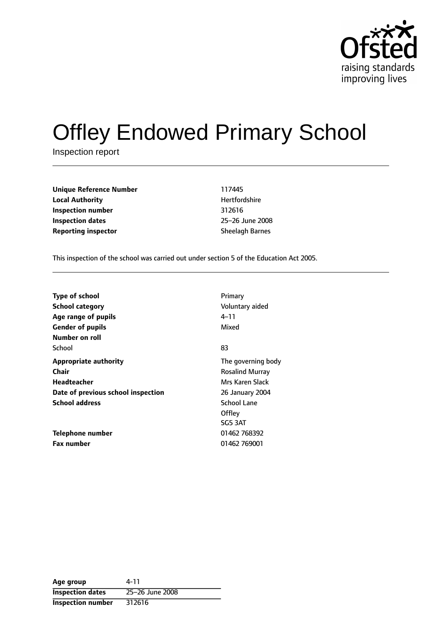

# Offley Endowed Primary School

Inspection report

| Unique Reference Number    | 117445                 |
|----------------------------|------------------------|
| <b>Local Authority</b>     | Hertfordshire          |
| Inspection number          | 312616                 |
| Inspection dates           | 25-26 June 2008        |
| <b>Reporting inspector</b> | <b>Sheelagh Barnes</b> |

**Unique Reference Number** 117445 **Hertfordshire Inspection dates** 2526 June 2008

This inspection of the school was carried out under section 5 of the Education Act 2005.

| <b>Type of school</b><br><b>School category</b><br>Age range of pupils | Primary<br>Voluntary aided<br>4–11<br>Mixed  |
|------------------------------------------------------------------------|----------------------------------------------|
| <b>Gender of pupils</b><br>Number on roll                              |                                              |
| School                                                                 | 83                                           |
| <b>Appropriate authority</b><br>Chair                                  | The governing body<br><b>Rosalind Murray</b> |
| Headteacher                                                            | Mrs Karen Slack                              |
| Date of previous school inspection                                     | 26 January 2004                              |
| <b>School address</b>                                                  | <b>School Lane</b><br>Offley<br>SG5 3AT      |
| Telephone number                                                       | 01462 768392                                 |
| <b>Fax number</b>                                                      | 01462 769001                                 |

| Age group                | 4-11            |
|--------------------------|-----------------|
| <b>Inspection dates</b>  | 25-26 June 2008 |
| <b>Inspection number</b> | 312616          |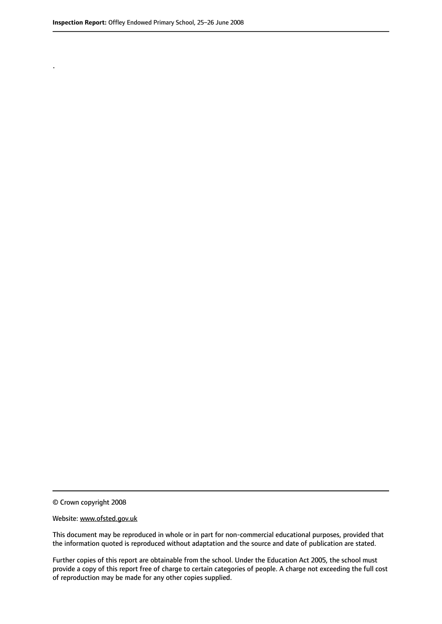.

© Crown copyright 2008

#### Website: www.ofsted.gov.uk

This document may be reproduced in whole or in part for non-commercial educational purposes, provided that the information quoted is reproduced without adaptation and the source and date of publication are stated.

Further copies of this report are obtainable from the school. Under the Education Act 2005, the school must provide a copy of this report free of charge to certain categories of people. A charge not exceeding the full cost of reproduction may be made for any other copies supplied.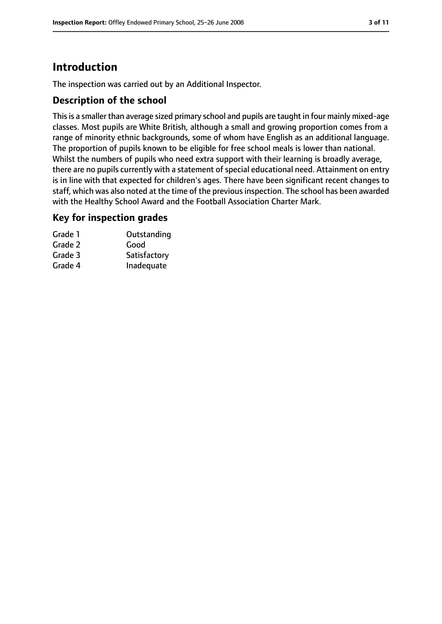# **Introduction**

The inspection was carried out by an Additional Inspector.

## **Description of the school**

This is a smaller than average sized primary school and pupils are taught in four mainly mixed-age classes. Most pupils are White British, although a small and growing proportion comes from a range of minority ethnic backgrounds, some of whom have English as an additional language. The proportion of pupils known to be eligible for free school meals is lower than national. Whilst the numbers of pupils who need extra support with their learning is broadly average, there are no pupils currently with a statement of special educational need. Attainment on entry is in line with that expected for children's ages. There have been significant recent changes to staff, which was also noted at the time of the previous inspection. The school has been awarded with the Healthy School Award and the Football Association Charter Mark.

### **Key for inspection grades**

| Grade 1 | Outstanding  |
|---------|--------------|
| Grade 2 | Good         |
| Grade 3 | Satisfactory |
| Grade 4 | Inadequate   |
|         |              |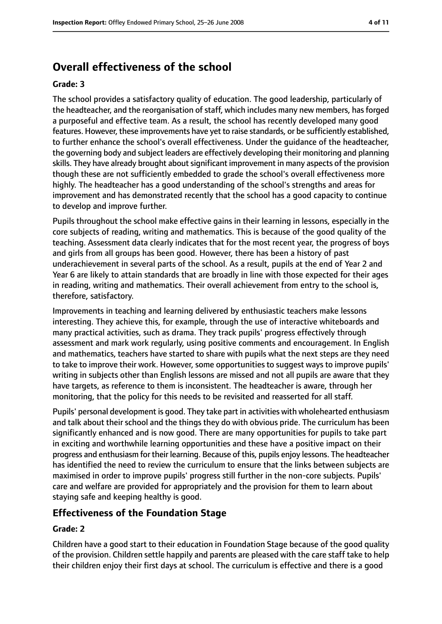# **Overall effectiveness of the school**

#### **Grade: 3**

The school provides a satisfactory quality of education. The good leadership, particularly of the headteacher, and the reorganisation of staff, which includes many new members, has forged a purposeful and effective team. As a result, the school has recently developed many good features. However, these improvements have yet to raise standards, or be sufficiently established, to further enhance the school's overall effectiveness. Under the guidance of the headteacher, the governing body and subject leaders are effectively developing their monitoring and planning skills. They have already brought about significant improvement in many aspects of the provision though these are not sufficiently embedded to grade the school's overall effectiveness more highly. The headteacher has a good understanding of the school's strengths and areas for improvement and has demonstrated recently that the school has a good capacity to continue to develop and improve further.

Pupils throughout the school make effective gains in their learning in lessons, especially in the core subjects of reading, writing and mathematics. This is because of the good quality of the teaching. Assessment data clearly indicates that for the most recent year, the progress of boys and girls from all groups has been good. However, there has been a history of past underachievement in several parts of the school. As a result, pupils at the end of Year 2 and Year 6 are likely to attain standards that are broadly in line with those expected for their ages in reading, writing and mathematics. Their overall achievement from entry to the school is, therefore, satisfactory.

Improvements in teaching and learning delivered by enthusiastic teachers make lessons interesting. They achieve this, for example, through the use of interactive whiteboards and many practical activities, such as drama. They track pupils' progress effectively through assessment and mark work regularly, using positive comments and encouragement. In English and mathematics, teachers have started to share with pupils what the next steps are they need to take to improve their work. However, some opportunities to suggest ways to improve pupils' writing in subjects other than English lessons are missed and not all pupils are aware that they have targets, as reference to them is inconsistent. The headteacher is aware, through her monitoring, that the policy for this needs to be revisited and reasserted for all staff.

Pupils' personal development is good. They take part in activities with wholehearted enthusiasm and talk about their school and the things they do with obvious pride. The curriculum has been significantly enhanced and is now good. There are many opportunities for pupils to take part in exciting and worthwhile learning opportunities and these have a positive impact on their progress and enthusiasm for their learning. Because of this, pupils enjoy lessons. The headteacher has identified the need to review the curriculum to ensure that the links between subjects are maximised in order to improve pupils' progress still further in the non-core subjects. Pupils' care and welfare are provided for appropriately and the provision for them to learn about staying safe and keeping healthy is good.

### **Effectiveness of the Foundation Stage**

#### **Grade: 2**

Children have a good start to their education in Foundation Stage because of the good quality of the provision. Children settle happily and parents are pleased with the care staff take to help their children enjoy their first days at school. The curriculum is effective and there is a good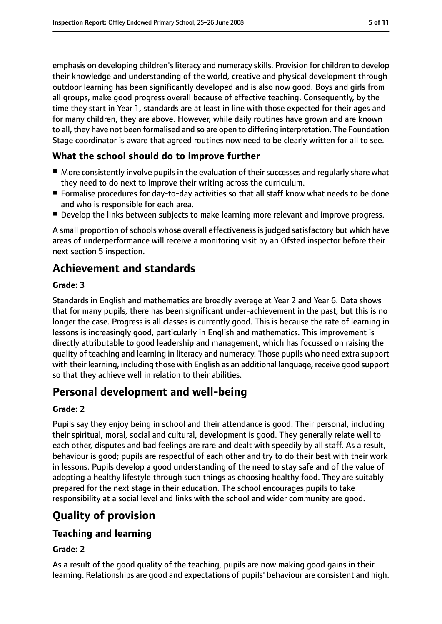emphasis on developing children's literacy and numeracy skills. Provision for children to develop their knowledge and understanding of the world, creative and physical development through outdoor learning has been significantly developed and is also now good. Boys and girls from all groups, make good progress overall because of effective teaching. Consequently, by the time they start in Year 1, standards are at least in line with those expected for their ages and for many children, they are above. However, while daily routines have grown and are known to all, they have not been formalised and so are open to differing interpretation. The Foundation Stage coordinator is aware that agreed routines now need to be clearly written for all to see.

## **What the school should do to improve further**

- More consistently involve pupils in the evaluation of their successes and regularly share what they need to do next to improve their writing across the curriculum.
- Formalise procedures for day-to-day activities so that all staff know what needs to be done and who is responsible for each area.
- Develop the links between subjects to make learning more relevant and improve progress.

A small proportion of schools whose overall effectiveness is judged satisfactory but which have areas of underperformance will receive a monitoring visit by an Ofsted inspector before their next section 5 inspection.

# **Achievement and standards**

#### **Grade: 3**

Standards in English and mathematics are broadly average at Year 2 and Year 6. Data shows that for many pupils, there has been significant under-achievement in the past, but this is no longer the case. Progress is all classes is currently good. This is because the rate of learning in lessons is increasingly good, particularly in English and mathematics. This improvement is directly attributable to good leadership and management, which has focussed on raising the quality of teaching and learning in literacy and numeracy. Those pupils who need extra support with their learning, including those with English as an additional language, receive good support so that they achieve well in relation to their abilities.

# **Personal development and well-being**

### **Grade: 2**

Pupils say they enjoy being in school and their attendance is good. Their personal, including their spiritual, moral, social and cultural, development is good. They generally relate well to each other, disputes and bad feelings are rare and dealt with speedily by all staff. As a result, behaviour is good; pupils are respectful of each other and try to do their best with their work in lessons. Pupils develop a good understanding of the need to stay safe and of the value of adopting a healthy lifestyle through such things as choosing healthy food. They are suitably prepared for the next stage in their education. The school encourages pupils to take responsibility at a social level and links with the school and wider community are good.

# **Quality of provision**

## **Teaching and learning**

#### **Grade: 2**

As a result of the good quality of the teaching, pupils are now making good gains in their learning. Relationships are good and expectations of pupils' behaviour are consistent and high.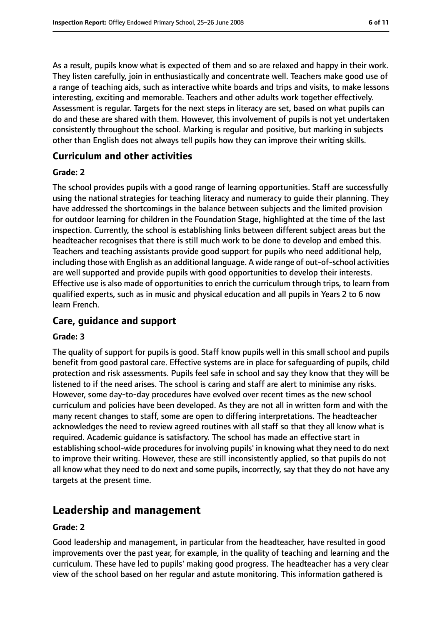As a result, pupils know what is expected of them and so are relaxed and happy in their work. They listen carefully, join in enthusiastically and concentrate well. Teachers make good use of a range of teaching aids, such as interactive white boards and trips and visits, to make lessons interesting, exciting and memorable. Teachers and other adults work together effectively. Assessment is regular. Targets for the next steps in literacy are set, based on what pupils can do and these are shared with them. However, this involvement of pupils is not yet undertaken consistently throughout the school. Marking is regular and positive, but marking in subjects other than English does not always tell pupils how they can improve their writing skills.

### **Curriculum and other activities**

#### **Grade: 2**

The school provides pupils with a good range of learning opportunities. Staff are successfully using the national strategies for teaching literacy and numeracy to guide their planning. They have addressed the shortcomings in the balance between subjects and the limited provision for outdoor learning for children in the Foundation Stage, highlighted at the time of the last inspection. Currently, the school is establishing links between different subject areas but the headteacher recognises that there is still much work to be done to develop and embed this. Teachers and teaching assistants provide good support for pupils who need additional help, including those with English as an additional language. A wide range of out-of-school activities are well supported and provide pupils with good opportunities to develop their interests. Effective use is also made of opportunities to enrich the curriculum through trips, to learn from qualified experts, such as in music and physical education and all pupils in Years 2 to 6 now learn French.

### **Care, guidance and support**

#### **Grade: 3**

The quality of support for pupils is good. Staff know pupils well in this small school and pupils benefit from good pastoral care. Effective systems are in place for safeguarding of pupils, child protection and risk assessments. Pupils feel safe in school and say they know that they will be listened to if the need arises. The school is caring and staff are alert to minimise any risks. However, some day-to-day procedures have evolved over recent times as the new school curriculum and policies have been developed. As they are not all in written form and with the many recent changes to staff, some are open to differing interpretations. The headteacher acknowledges the need to review agreed routines with all staff so that they all know what is required. Academic guidance is satisfactory. The school has made an effective start in establishing school-wide procedures for involving pupils' in knowing what they need to do next to improve their writing. However, these are still inconsistently applied, so that pupils do not all know what they need to do next and some pupils, incorrectly, say that they do not have any targets at the present time.

## **Leadership and management**

#### **Grade: 2**

Good leadership and management, in particular from the headteacher, have resulted in good improvements over the past year, for example, in the quality of teaching and learning and the curriculum. These have led to pupils' making good progress. The headteacher has a very clear view of the school based on her regular and astute monitoring. This information gathered is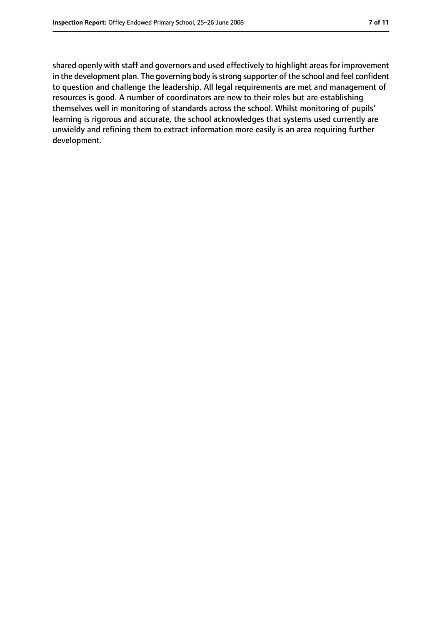shared openly with staff and governors and used effectively to highlight areas for improvement in the development plan. The governing body is strong supporter of the school and feel confident to question and challenge the leadership. All legal requirements are met and management of resources is good. A number of coordinators are new to their roles but are establishing themselves well in monitoring of standards across the school. Whilst monitoring of pupils' learning is rigorous and accurate, the school acknowledges that systems used currently are unwieldy and refining them to extract information more easily is an area requiring further development.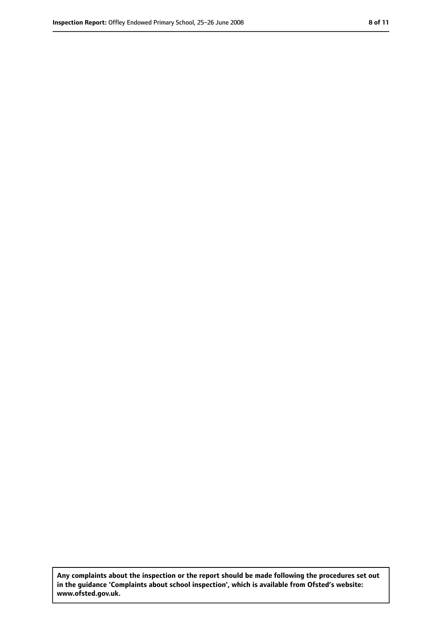**Any complaints about the inspection or the report should be made following the procedures set out in the guidance 'Complaints about school inspection', which is available from Ofsted's website: www.ofsted.gov.uk.**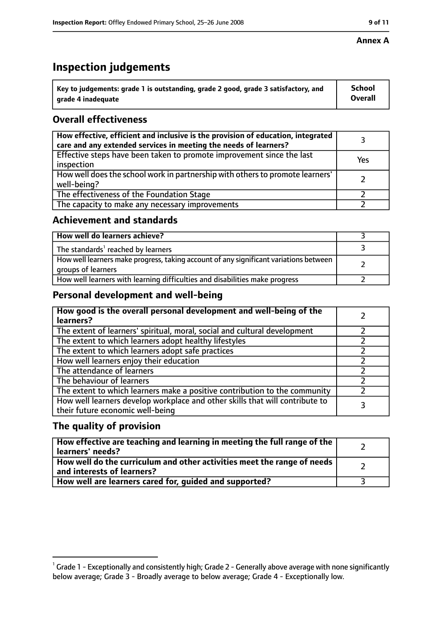# **Inspection judgements**

| $\dot{~}$ Key to judgements: grade 1 is outstanding, grade 2 good, grade 3 satisfactory, and | <b>School</b>  |
|----------------------------------------------------------------------------------------------|----------------|
| arade 4 inadequate                                                                           | <b>Overall</b> |

## **Overall effectiveness**

| How effective, efficient and inclusive is the provision of education, integrated<br>care and any extended services in meeting the needs of learners? |     |
|------------------------------------------------------------------------------------------------------------------------------------------------------|-----|
| Effective steps have been taken to promote improvement since the last<br>inspection                                                                  | Yes |
| How well does the school work in partnership with others to promote learners'<br>well-being?                                                         |     |
| The effectiveness of the Foundation Stage                                                                                                            |     |
| The capacity to make any necessary improvements                                                                                                      |     |

## **Achievement and standards**

| How well do learners achieve?                                                                               |  |
|-------------------------------------------------------------------------------------------------------------|--|
| The standards <sup>1</sup> reached by learners                                                              |  |
| How well learners make progress, taking account of any significant variations between<br>groups of learners |  |
| How well learners with learning difficulties and disabilities make progress                                 |  |

## **Personal development and well-being**

| How good is the overall personal development and well-being of the<br>learners?                                  |  |
|------------------------------------------------------------------------------------------------------------------|--|
| The extent of learners' spiritual, moral, social and cultural development                                        |  |
| The extent to which learners adopt healthy lifestyles                                                            |  |
| The extent to which learners adopt safe practices                                                                |  |
| How well learners enjoy their education                                                                          |  |
| The attendance of learners                                                                                       |  |
| The behaviour of learners                                                                                        |  |
| The extent to which learners make a positive contribution to the community                                       |  |
| How well learners develop workplace and other skills that will contribute to<br>their future economic well-being |  |

## **The quality of provision**

| How effective are teaching and learning in meeting the full range of the<br>learners' needs?          |  |
|-------------------------------------------------------------------------------------------------------|--|
| How well do the curriculum and other activities meet the range of needs<br>and interests of learners? |  |
| How well are learners cared for, quided and supported?                                                |  |

 $^1$  Grade 1 - Exceptionally and consistently high; Grade 2 - Generally above average with none significantly below average; Grade 3 - Broadly average to below average; Grade 4 - Exceptionally low.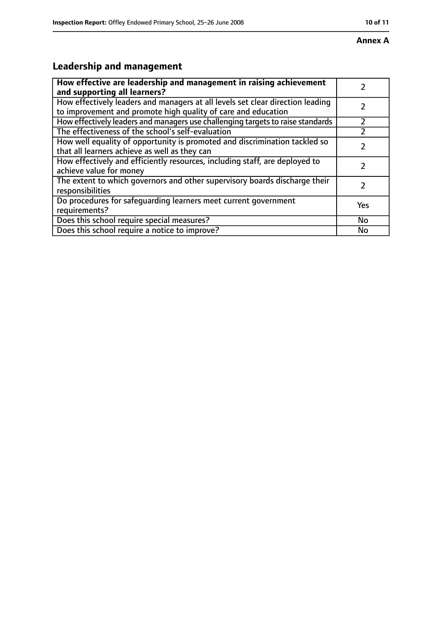# **Leadership and management**

| How effective are leadership and management in raising achievement<br>and supporting all learners?                                              |           |
|-------------------------------------------------------------------------------------------------------------------------------------------------|-----------|
| How effectively leaders and managers at all levels set clear direction leading<br>to improvement and promote high quality of care and education |           |
| How effectively leaders and managers use challenging targets to raise standards                                                                 |           |
| The effectiveness of the school's self-evaluation                                                                                               |           |
| How well equality of opportunity is promoted and discrimination tackled so<br>that all learners achieve as well as they can                     |           |
| How effectively and efficiently resources, including staff, are deployed to<br>achieve value for money                                          |           |
| The extent to which governors and other supervisory boards discharge their<br>responsibilities                                                  |           |
| Do procedures for safequarding learners meet current government<br>requirements?                                                                | Yes       |
| Does this school require special measures?                                                                                                      | <b>No</b> |
| Does this school require a notice to improve?                                                                                                   | No        |